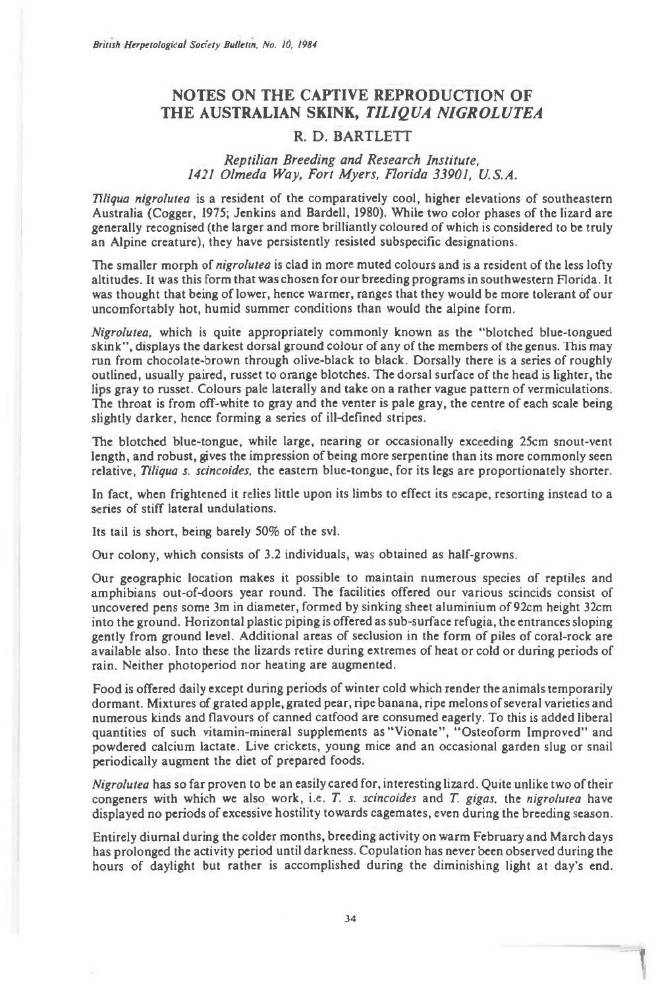## **NOTES ON THE CAPTIVE REPRODUCTION OF THE AUSTRALIAN SKINK,** *TILIQUA NIGROLUTEA*

## **R. D. BARTLETT**

## *Reptilian Breeding and Research Institute, 1421 Olmeda Way, Fort Myers, Florida 33901, U.S.A.*

*TIliqua nigrolutea is* a resident of the comparatively cool, higher elevations of southeastern Australia (Cogger, 1975; Jenkins and Bardell, 1980). While two color phases of the lizard are generally recognised (the larger and more brilliantly coloured of which is considered to be truly an Alpine creature), they have persistently resisted subspecific designations.

The smaller morph of *nigrolutea* is clad in more muted colours and is a resident of the less lofty altitudes. It was this form that was chosen for our breeding programs in southwestern Florida. It was thought that being of lower, hence warmer, ranges that they would be more tolerant of our uncomfortably hot, humid summer conditions than would the alpine form.

*Nigrolutea,* which is quite appropriately commonly known as the "blotched blue-tongued skink", displays the darkest dorsal ground colour of any of the members of the genus. This may run from chocolate-brown through olive-black to black. Dorsally there is a series of roughly outlined, usually paired, russet to orange blotches. The dorsal surface of the head is lighter, the lips gray to russet. Colours pale laterally and take on a rather vague pattern of vermiculations. The throat is from off-white to gray and the venter is pale gray, the centre of each scale being slightly darker, hence forming a series of ill-defined stripes.

The blotched blue-tongue, while large, nearing or occasionally exceeding 25cm snout-vent length, and robust, gives the impression of being more serpentine than its more commonly seen relative, *Tiliqua s. scincoides,* the eastern blue-tongue, for its legs are proportionately shorter.

In fact, when frightened it relies little upon its limbs to effect its escape, resorting instead to a series of stiff lateral undulations.

Its tail is short, being barely 50% of the svl.

Our colony, which consists of 3.2 individuals, was obtained as half-growns.

Our geographic location makes it possible to maintain numerous species of reptiles and amphibians out-of-doors year round. The facilities offered our various scincids consist of uncovered pens some 3m in diameter, formed by sinking sheet aluminium of 92cm height 32cm into the ground. Horizontal plastic piping is offered as sub-surface refugia, the entrances sloping gently from ground level. Additional areas of seclusion in the form of piles of coral-rock are available also. Into these the lizards retire during extremes of heat or cold or during periods of rain. Neither photoperiod nor heating are augmented.

Food is offered daily except during periods of winter cold which render the animals temporarily dormant. Mixtures of grated apple, grated pear, ripe banana, ripe melons of several varieties and numerous kinds and flavours of canned catfood are consumed eagerly. To this is added liberal quantities of such vitamin-mineral supplements as "Vionate", "Osteoform Improved" and powdered calcium lactate. Live crickets, young mice and an occasional garden slug or snail periodically augment the diet of prepared foods.

*Nigrolutea* has so far proven to be an easily cared for, interesting lizard. Quite unlike two of their congeners with which we also work, i.e. *T. s. scincoides* and *T. gigas,* the *nigrolutea* have displayed no periods of excessive hostility towards cagemates, even during the breeding season.

Entirely diurnal during the colder months, breeding activity on warm February and March days has prolonged the activity period until darkness. Copulation has never been observed during the hours of daylight but rather is accomplished during the diminishing light at day's end.